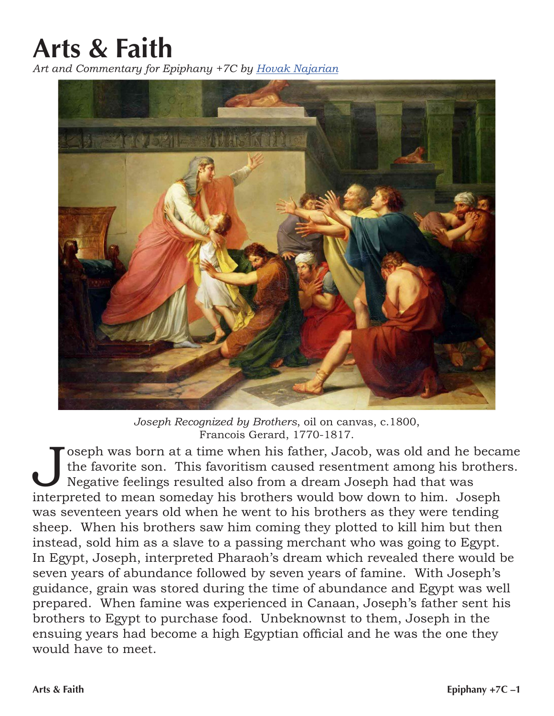## **Arts & Faith**

*Art and Commentary for Epiphany +7C by [Hovak Najarian](https://smecsundaymorningforum.org/2012/03/03/introducing-hovak-najarian/)*



*Joseph Recognized by Brothers*, oil on canvas, c.1800, Francois Gerard, 1770-1817.

oseph was born at a time when his father, Jacob, was old and he became the favorite son. This favoritism caused resentment among his brothers. Negative feelings resulted also from a dream Joseph had that was interpreted to mean someday his brothers would bow down to him. Joseph was seventeen years old when he went to his brothers as they were tending sheep. When his brothers saw him coming they plotted to kill him but then instead, sold him as a slave to a passing merchant who was going to Egypt. In Egypt, Joseph, interpreted Pharaoh's dream which revealed there would be seven years of abundance followed by seven years of famine. With Joseph's guidance, grain was stored during the time of abundance and Egypt was well prepared. When famine was experienced in Canaan, Joseph's father sent his brothers to Egypt to purchase food. Unbeknownst to them, Joseph in the ensuing years had become a high Egyptian official and he was the one they would have to meet.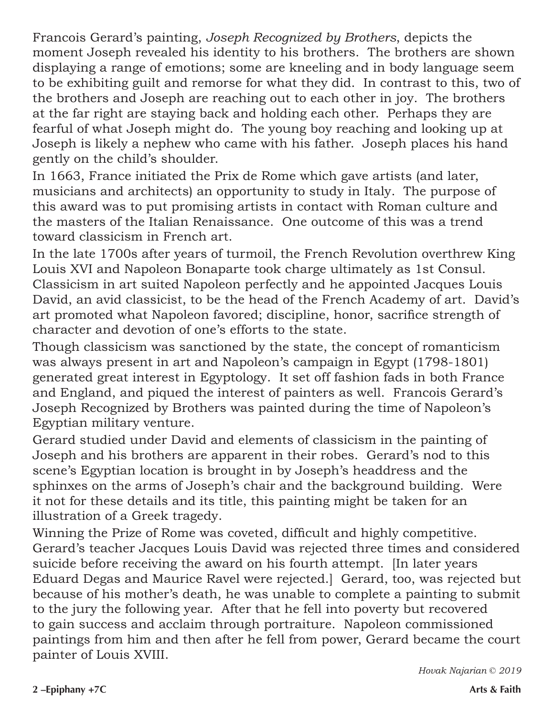Francois Gerard's painting, *Joseph Recognized by Brothers*, depicts the moment Joseph revealed his identity to his brothers. The brothers are shown displaying a range of emotions; some are kneeling and in body language seem to be exhibiting guilt and remorse for what they did. In contrast to this, two of the brothers and Joseph are reaching out to each other in joy. The brothers at the far right are staying back and holding each other. Perhaps they are fearful of what Joseph might do. The young boy reaching and looking up at Joseph is likely a nephew who came with his father. Joseph places his hand gently on the child's shoulder.

In 1663, France initiated the Prix de Rome which gave artists (and later, musicians and architects) an opportunity to study in Italy. The purpose of this award was to put promising artists in contact with Roman culture and the masters of the Italian Renaissance. One outcome of this was a trend toward classicism in French art.

In the late 1700s after years of turmoil, the French Revolution overthrew King Louis XVI and Napoleon Bonaparte took charge ultimately as 1st Consul. Classicism in art suited Napoleon perfectly and he appointed Jacques Louis David, an avid classicist, to be the head of the French Academy of art. David's art promoted what Napoleon favored; discipline, honor, sacrifice strength of character and devotion of one's efforts to the state.

Though classicism was sanctioned by the state, the concept of romanticism was always present in art and Napoleon's campaign in Egypt (1798-1801) generated great interest in Egyptology. It set off fashion fads in both France and England, and piqued the interest of painters as well. Francois Gerard's Joseph Recognized by Brothers was painted during the time of Napoleon's Egyptian military venture.

Gerard studied under David and elements of classicism in the painting of Joseph and his brothers are apparent in their robes. Gerard's nod to this scene's Egyptian location is brought in by Joseph's headdress and the sphinxes on the arms of Joseph's chair and the background building. Were it not for these details and its title, this painting might be taken for an illustration of a Greek tragedy.

Winning the Prize of Rome was coveted, difficult and highly competitive. Gerard's teacher Jacques Louis David was rejected three times and considered suicide before receiving the award on his fourth attempt. [In later years Eduard Degas and Maurice Ravel were rejected.] Gerard, too, was rejected but because of his mother's death, he was unable to complete a painting to submit to the jury the following year. After that he fell into poverty but recovered to gain success and acclaim through portraiture. Napoleon commissioned paintings from him and then after he fell from power, Gerard became the court painter of Louis XVIII.